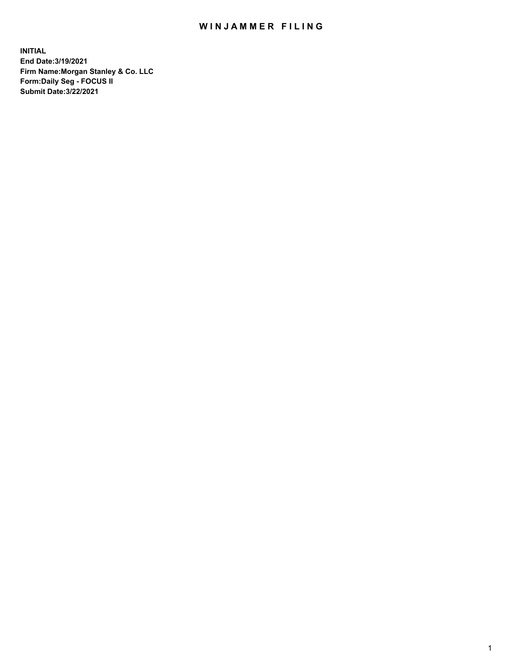## WIN JAMMER FILING

**INITIAL End Date:3/19/2021 Firm Name:Morgan Stanley & Co. LLC Form:Daily Seg - FOCUS II Submit Date:3/22/2021**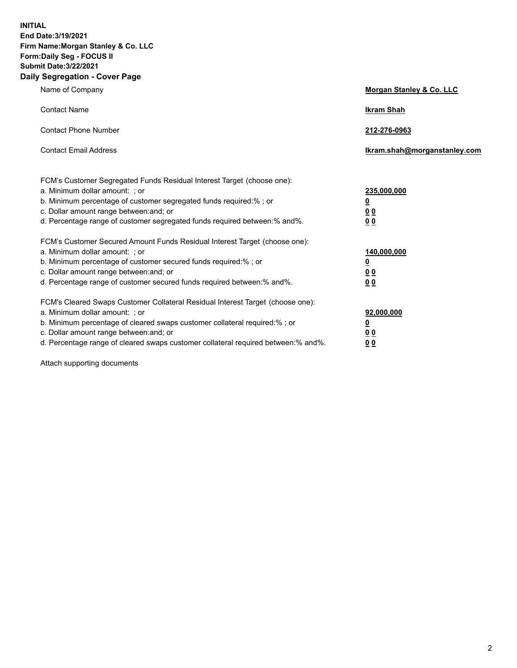**INITIAL End Date:3/19/2021 Firm Name:Morgan Stanley & Co. LLC Form:Daily Seg - FOCUS II Submit Date:3/22/2021 Daily Segregation - Cover Page**

| Name of Company                                                                                                                                                                                                                                                                                                                | <b>Morgan Stanley &amp; Co. LLC</b>                         |
|--------------------------------------------------------------------------------------------------------------------------------------------------------------------------------------------------------------------------------------------------------------------------------------------------------------------------------|-------------------------------------------------------------|
| <b>Contact Name</b>                                                                                                                                                                                                                                                                                                            | <b>Ikram Shah</b>                                           |
| <b>Contact Phone Number</b>                                                                                                                                                                                                                                                                                                    | 212-276-0963                                                |
| <b>Contact Email Address</b>                                                                                                                                                                                                                                                                                                   | Ikram.shah@morganstanley.com                                |
| FCM's Customer Segregated Funds Residual Interest Target (choose one):<br>a. Minimum dollar amount: ; or<br>b. Minimum percentage of customer segregated funds required:%; or<br>c. Dollar amount range between: and; or<br>d. Percentage range of customer segregated funds required between:% and%.                          | 235,000,000<br><u>0</u><br>0 <sub>0</sub><br>0 <sub>0</sub> |
| FCM's Customer Secured Amount Funds Residual Interest Target (choose one):<br>a. Minimum dollar amount: ; or<br>b. Minimum percentage of customer secured funds required:% ; or<br>c. Dollar amount range between: and; or<br>d. Percentage range of customer secured funds required between:% and%.                           | 140,000,000<br><u>0</u><br>0 <sub>0</sub><br>0 <sub>0</sub> |
| FCM's Cleared Swaps Customer Collateral Residual Interest Target (choose one):<br>a. Minimum dollar amount: ; or<br>b. Minimum percentage of cleared swaps customer collateral required:% ; or<br>c. Dollar amount range between: and; or<br>d. Percentage range of cleared swaps customer collateral required between:% and%. | 92,000,000<br><u>0</u><br><u>00</u><br>0 <sub>0</sub>       |

Attach supporting documents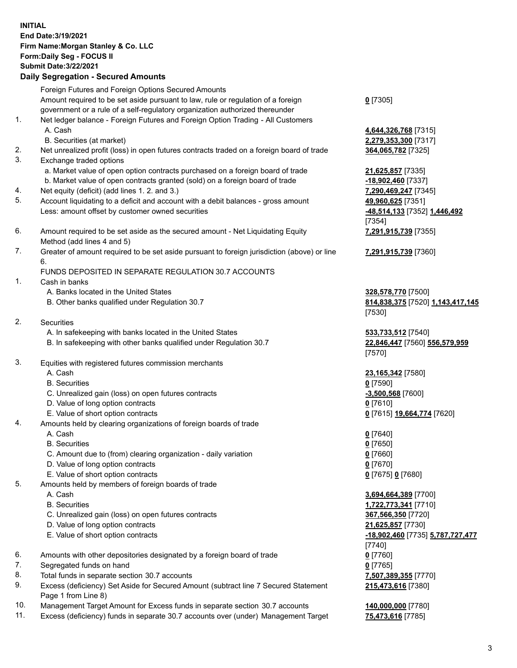## **INITIAL End Date:3/19/2021 Firm Name:Morgan Stanley & Co. LLC Form:Daily Seg - FOCUS II Submit Date:3/22/2021**

## **Daily Segregation - Secured Amounts**

Foreign Futures and Foreign Options Secured Amounts Amount required to be set aside pursuant to law, rule or regulation of a foreign government or a rule of a self-regulatory organization authorized thereunder 1. Net ledger balance - Foreign Futures and Foreign Option Trading - All Customers A. Cash **4,644,326,768** [7315] B. Securities (at market) **2,279,353,300** [7317] 2. Net unrealized profit (loss) in open futures contracts traded on a foreign board of trade **364,065,782** [7325]

- 3. Exchange traded options
	- a. Market value of open option contracts purchased on a foreign board of trade **21,625,857** [7335]
	- b. Market value of open contracts granted (sold) on a foreign board of trade **-18,902,460** [7337]
- 4. Net equity (deficit) (add lines 1. 2. and 3.) **7,290,469,247** [7345]
- 5. Account liquidating to a deficit and account with a debit balances gross amount **49,960,625** [7351] Less: amount offset by customer owned securities **-48,514,133** [7352] **1,446,492**
- 6. Amount required to be set aside as the secured amount Net Liquidating Equity Method (add lines 4 and 5)
- 7. Greater of amount required to be set aside pursuant to foreign jurisdiction (above) or line 6.

## FUNDS DEPOSITED IN SEPARATE REGULATION 30.7 ACCOUNTS

- 1. Cash in banks
	- A. Banks located in the United States **328,578,770** [7500]
	- B. Other banks qualified under Regulation 30.7 **814,838,375** [7520] **1,143,417,145**
- 2. Securities
	- A. In safekeeping with banks located in the United States **533,733,512** [7540]
	- B. In safekeeping with other banks qualified under Regulation 30.7 **22,846,447** [7560] **556,579,959**
- 3. Equities with registered futures commission merchants
	-
	- B. Securities **0** [7590]
	- C. Unrealized gain (loss) on open futures contracts **-3,500,568** [7600]
	- D. Value of long option contracts **0** [7610]
	- E. Value of short option contracts **0** [7615] **19,664,774** [7620]
- 4. Amounts held by clearing organizations of foreign boards of trade
	-
	- B. Securities **0** [7650]
	- C. Amount due to (from) clearing organization daily variation **0** [7660]
	- D. Value of long option contracts **0** [7670]
	- E. Value of short option contracts **0** [7675] **0** [7680]
- 5. Amounts held by members of foreign boards of trade
	-
	-
	- C. Unrealized gain (loss) on open futures contracts **367,566,350** [7720]
	- D. Value of long option contracts **21,625,857** [7730]
	- E. Value of short option contracts **-18,902,460** [7735] **5,787,727,477**
- 6. Amounts with other depositories designated by a foreign board of trade **0** [7760]
- 7. Segregated funds on hand **0** [7765]
- 8. Total funds in separate section 30.7 accounts **7,507,389,355** [7770]
- 9. Excess (deficiency) Set Aside for Secured Amount (subtract line 7 Secured Statement Page 1 from Line 8)
- 10. Management Target Amount for Excess funds in separate section 30.7 accounts **140,000,000** [7780]
- 11. Excess (deficiency) funds in separate 30.7 accounts over (under) Management Target **75,473,616** [7785]

**0** [7305]

[7354] **7,291,915,739** [7355]

**7,291,915,739** [7360]

[7530]

[7570]

A. Cash **23,165,342** [7580]

A. Cash **0** [7640]

 A. Cash **3,694,664,389** [7700] B. Securities **1,722,773,341** [7710] [7740] **215,473,616** [7380]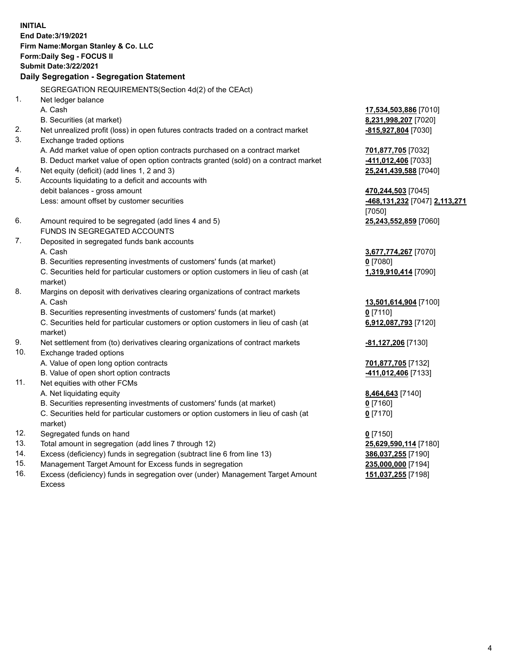**INITIAL End Date:3/19/2021 Firm Name:Morgan Stanley & Co. LLC Form:Daily Seg - FOCUS II Submit Date:3/22/2021 Daily Segregation - Segregation Statement** SEGREGATION REQUIREMENTS(Section 4d(2) of the CEAct) 1. Net ledger balance A. Cash **17,534,503,886** [7010] B. Securities (at market) **8,231,998,207** [7020] 2. Net unrealized profit (loss) in open futures contracts traded on a contract market **-815,927,804** [7030] 3. Exchange traded options A. Add market value of open option contracts purchased on a contract market **701,877,705** [7032] B. Deduct market value of open option contracts granted (sold) on a contract market **-411,012,406** [7033] 4. Net equity (deficit) (add lines 1, 2 and 3) **25,241,439,588** [7040] 5. Accounts liquidating to a deficit and accounts with debit balances - gross amount **470,244,503** [7045] Less: amount offset by customer securities **-468,131,232** [7047] **2,113,271** [7050] 6. Amount required to be segregated (add lines 4 and 5) **25,243,552,859** [7060] FUNDS IN SEGREGATED ACCOUNTS 7. Deposited in segregated funds bank accounts A. Cash **3,677,774,267** [7070] B. Securities representing investments of customers' funds (at market) **0** [7080] C. Securities held for particular customers or option customers in lieu of cash (at market) **1,319,910,414** [7090] 8. Margins on deposit with derivatives clearing organizations of contract markets A. Cash **13,501,614,904** [7100] B. Securities representing investments of customers' funds (at market) **0** [7110] C. Securities held for particular customers or option customers in lieu of cash (at market) **6,912,087,793** [7120] 9. Net settlement from (to) derivatives clearing organizations of contract markets **-81,127,206** [7130] 10. Exchange traded options A. Value of open long option contracts **701,877,705** [7132] B. Value of open short option contracts **-411,012,406** [7133] 11. Net equities with other FCMs A. Net liquidating equity **8,464,643** [7140] B. Securities representing investments of customers' funds (at market) **0** [7160] C. Securities held for particular customers or option customers in lieu of cash (at market) **0** [7170] 12. Segregated funds on hand **0** [7150] 13. Total amount in segregation (add lines 7 through 12) **25,629,590,114** [7180] 14. Excess (deficiency) funds in segregation (subtract line 6 from line 13) **386,037,255** [7190] 15. Management Target Amount for Excess funds in segregation **235,000,000** [7194]

16. Excess (deficiency) funds in segregation over (under) Management Target Amount Excess

**151,037,255** [7198]